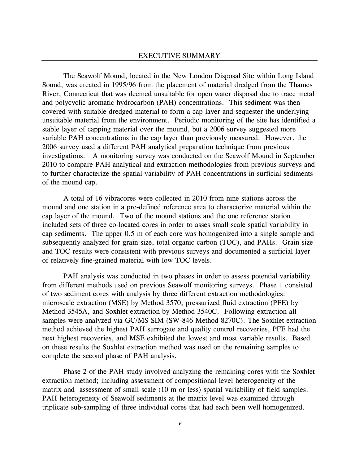The Seawolf Mound, located in the New London Disposal Site within Long Island Sound, was created in 1995/96 from the placement of material dredged from the Thames River, Connecticut that was deemed unsuitable for open water disposal due to trace metal and polycyclic aromatic hydrocarbon (PAH) concentrations. This sediment was then covered with suitable dredged material to form a cap layer and sequester the underlying unsuitable material from the environment. Periodic monitoring of the site has identified a stable layer of capping material over the mound, but a 2006 survey suggested more variable PAH concentrations in the cap layer than previously measured. However, the 2006 survey used a different PAH analytical preparation technique from previous investigations. A monitoring survey was conducted on the Seawolf Mound in September 2010 to compare PAH analytical and extraction methodologies from previous surveys and to further characterize the spatial variability of PAH concentrations in surficial sediments of the mound cap.

A total of 16 vibracores were collected in 2010 from nine stations across the mound and one station in a pre-defined reference area to characterize material within the cap layer of the mound. Two of the mound stations and the one reference station included sets of three co-located cores in order to asses small-scale spatial variability in cap sediments. The upper 0.5 m of each core was homogenized into a single sample and subsequently analyzed for grain size, total organic carbon (TOC), and PAHs. Grain size and TOC results were consistent with previous surveys and documented a surficial layer of relatively fine-grained material with low TOC levels.

PAH analysis was conducted in two phases in order to assess potential variability from different methods used on previous Seawolf monitoring surveys. Phase 1 consisted of two sediment cores with analysis by three different extraction methodologies: microscale extraction (MSE) by Method 3570, pressurized fluid extraction (PFE) by Method 3545A, and Soxhlet extraction by Method 3540C. Following extraction all samples were analyzed via GC/MS SIM (SW-846 Method 8270C). The Soxhlet extraction method achieved the highest PAH surrogate and quality control recoveries, PFE had the next highest recoveries, and MSE exhibited the lowest and most variable results. Based on these results the Soxhlet extraction method was used on the remaining samples to complete the second phase of PAH analysis.

 Phase 2 of the PAH study involved analyzing the remaining cores with the Soxhlet extraction method; including assessment of compositional-level heterogeneity of the matrix and assessment of small-scale (10 m or less) spatial variability of field samples. PAH heterogeneity of Seawolf sediments at the matrix level was examined through triplicate sub-sampling of three individual cores that had each been well homogenized.